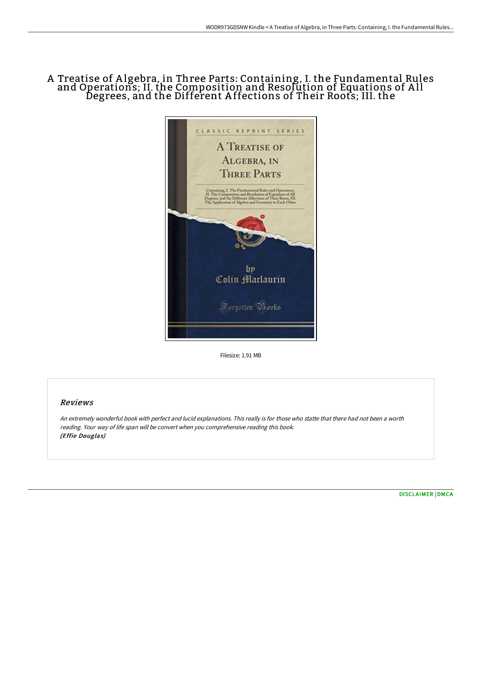# A Treatise of A lgebra, in Three Parts: Containing, I. the Fundamental Rules and Operations; II. the Composition and Resolution of Equations of A ll Degrees, and the Different A ffections of Their Roots; III. the



Filesize: 1.91 MB

## Reviews

An extremely wonderful book with perfect and lucid explanations. This really is for those who statte that there had not been <sup>a</sup> worth reading. Your way of life span will be convert when you comprehensive reading this book. (Effie Douglas)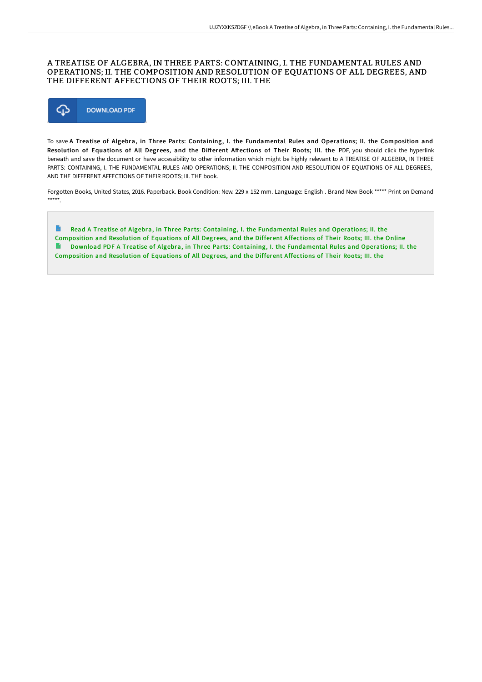### A TREATISE OF ALGEBRA, IN THREE PARTS: CONTAINING, I. THE FUNDAMENTAL RULES AND OPERATIONS; II. THE COMPOSITION AND RESOLUTION OF EQUATIONS OF ALL DEGREES, AND THE DIFFERENT AFFECTIONS OF THEIR ROOTS; III. THE



To save A Treatise of Algebra, in Three Parts: Containing, I. the Fundamental Rules and Operations; II. the Composition and Resolution of Equations of All Degrees, and the Different Affections of Their Roots; III. the PDF, you should click the hyperlink beneath and save the document or have accessibility to other information which might be highly relevant to A TREATISE OF ALGEBRA, IN THREE PARTS: CONTAINING, I. THE FUNDAMENTAL RULES AND OPERATIONS; II. THE COMPOSITION AND RESOLUTION OF EQUATIONS OF ALL DEGREES, AND THE DIFFERENT AFFECTIONS OF THEIR ROOTS; III. THE book.

Forgotten Books, United States, 2016. Paperback. Book Condition: New. 229 x 152 mm. Language: English . Brand New Book \*\*\*\*\* Print on Demand \*\*\*\*\*.

R Read A Treatise of Algebra, in Three Parts: Containing, I. the [Fundamental](http://digilib.live/a-treatise-of-algebra-in-three-parts-containing-.html) Rules and Operations; II. the Composition and Resolution of Equations of All Degrees, and the Different Affections of Their Roots; III. the Online D. Download PDF A Treatise of Algebra, in Three Parts: Containing, I. the [Fundamental](http://digilib.live/a-treatise-of-algebra-in-three-parts-containing-.html) Rules and Operations; II. the Composition and Resolution of Equations of All Degrees, and the Different Affections of Their Roots; III. the